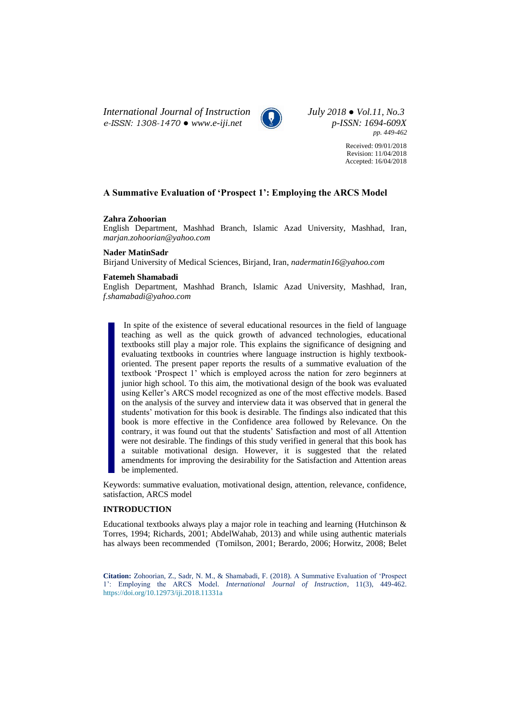*International Journal of Instruction July 2018 ● Vol.11, No.3 e-ISSN: 1308-1470 ● [www.e-iji.net](http://www.e-iji.net/) p-ISSN: 1694-609X*



*pp. 449-462*

Received: 09/01/2018 Revision: 11/04/2018 Accepted: 16/04/2018

# **A Summative Evaluation of 'Prospect 1': Employing the ARCS Model**

## **Zahra Zohoorian**

English Department, Mashhad Branch, Islamic Azad University, Mashhad, Iran, *marjan.zohoorian@yahoo.com*

#### **Nader MatinSadr**

Birjand University of Medical Sciences, Birjand, Iran, *nadermatin16@yahoo.com*

## **Fatemeh Shamabadi**

English Department, Mashhad Branch, Islamic Azad University, Mashhad, Iran, *f.shamabadi@yahoo.com*

In spite of the existence of several educational resources in the field of language teaching as well as the quick growth of advanced technologies, educational textbooks still play a major role. This explains the significance of designing and evaluating textbooks in countries where language instruction is highly textbookoriented. The present paper reports the results of a summative evaluation of the textbook 'Prospect 1' which is employed across the nation for zero beginners at junior high school. To this aim, the motivational design of the book was evaluated using Keller's ARCS model recognized as one of the most effective models. Based on the analysis of the survey and interview data it was observed that in general the students' motivation for this book is desirable. The findings also indicated that this book is more effective in the Confidence area followed by Relevance. On the contrary, it was found out that the students' Satisfaction and most of all Attention were not desirable. The findings of this study verified in general that this book has a suitable motivational design. However, it is suggested that the related amendments for improving the desirability for the Satisfaction and Attention areas be implemented.

Keywords: summative evaluation, motivational design, attention, relevance, confidence, satisfaction, ARCS model

# **INTRODUCTION**

Educational textbooks always play a major role in teaching and learning (Hutchinson & Torres, 1994; Richards, 2001; AbdelWahab, 2013) and while using authentic materials has always been recommended (Tomilson, 2001; Berardo, 2006; Horwitz, 2008; Belet

**Citation:** Zohoorian, Z., Sadr, N. M., & Shamabadi, F. (2018). A Summative Evaluation of 'Prospect 1': Employing the ARCS Model. *International Journal of Instruction*, 11(3), 449-462. <https://doi.org/10.12973/iji.2018.11331a>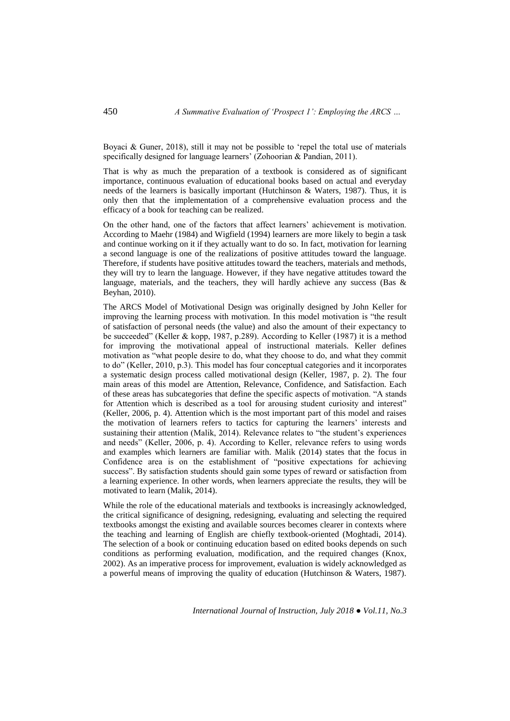Boyaci & Guner, 2018), still it may not be possible to 'repel the total use of materials specifically designed for language learners' (Zohoorian & Pandian, 2011).

That is why as much the preparation of a textbook is considered as of significant importance, continuous evaluation of educational books based on actual and everyday needs of the learners is basically important (Hutchinson & Waters, 1987). Thus, it is only then that the implementation of a comprehensive evaluation process and the efficacy of a book for teaching can be realized.

On the other hand, one of the factors that affect learners' achievement is motivation. According to Maehr (1984) and Wigfield (1994) learners are more likely to begin a task and continue working on it if they actually want to do so. In fact, motivation for learning a second language is one of the realizations of positive attitudes toward the language. Therefore, if students have positive attitudes toward the teachers, materials and methods, they will try to learn the language. However, if they have negative attitudes toward the language, materials, and the teachers, they will hardly achieve any success (Bas & Beyhan, 2010).

The ARCS Model of Motivational Design was originally designed by John Keller for improving the learning process with motivation. In this model motivation is "the result of satisfaction of personal needs (the value) and also the amount of their expectancy to be succeeded" (Keller & kopp, 1987, p.289). According to Keller (1987) it is a method for improving the motivational appeal of instructional materials. Keller defines motivation as "what people desire to do, what they choose to do, and what they commit to do" (Keller, 2010, p.3). This model has four conceptual categories and it incorporates a systematic design process called motivational design (Keller, 1987, p. 2). The four main areas of this model are Attention, Relevance, Confidence, and Satisfaction. Each of these areas has subcategories that define the specific aspects of motivation. "A stands for Attention which is described as a tool for arousing student curiosity and interest" (Keller, 2006, p. 4). Attention which is the most important part of this model and raises the motivation of learners refers to tactics for capturing the learners' interests and sustaining their attention (Malik, 2014). Relevance relates to "the student's experiences and needs" (Keller, 2006, p. 4). According to Keller, relevance refers to using words and examples which learners are familiar with. Malik (2014) states that the focus in Confidence area is on the establishment of "positive expectations for achieving success". By satisfaction students should gain some types of reward or satisfaction from a learning experience. In other words, when learners appreciate the results, they will be motivated to learn (Malik, 2014).

While the role of the educational materials and textbooks is increasingly acknowledged, the critical significance of designing, redesigning, evaluating and selecting the required textbooks amongst the existing and available sources becomes clearer in contexts where the teaching and learning of English are chiefly textbook-oriented (Moghtadi, 2014). The selection of a book or continuing education based on edited books depends on such conditions as performing evaluation, modification, and the required changes (Knox, 2002). As an imperative process for improvement, evaluation is widely acknowledged as a powerful means of improving the quality of education (Hutchinson & Waters, 1987).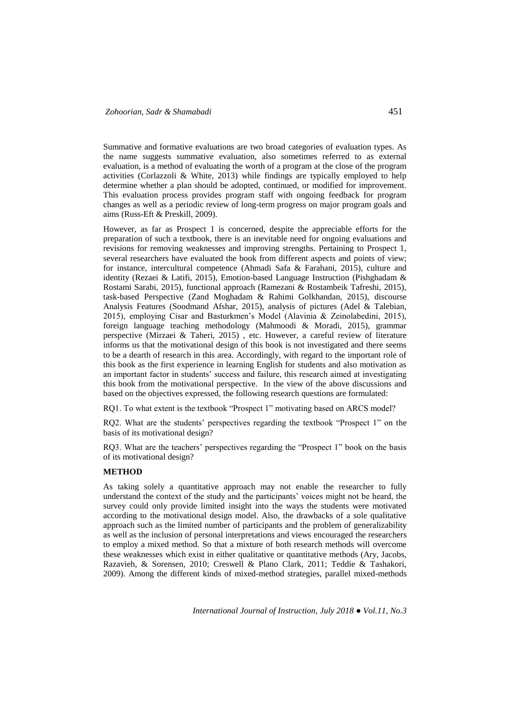Summative and formative evaluations are two broad categories of evaluation types. As the name suggests summative evaluation, also sometimes referred to as external evaluation, is a method of evaluating the worth of a program at the close of the program activities (Corlazzoli & White, 2013) while findings are typically employed to help determine whether a plan should be adopted, continued, or modified for improvement. This evaluation process provides program staff with ongoing feedback for program changes as well as a periodic review of long-term progress on major program goals and aims (Russ-Eft & Preskill, 2009).

However, as far as Prospect 1 is concerned, despite the appreciable efforts for the preparation of such a textbook, there is an inevitable need for ongoing evaluations and revisions for removing weaknesses and improving strengths. Pertaining to Prospect 1, several researchers have evaluated the book from different aspects and points of view; for instance, intercultural competence (Ahmadi Safa & Farahani, 2015), culture and identity (Rezaei & Latifi, 2015), Emotion-based Language Instruction (Pishghadam & Rostami Sarabi, 2015), functional approach (Ramezani & Rostambeik Tafreshi, 2015), task-based Perspective (Zand Moghadam & Rahimi Golkhandan, 2015), discourse Analysis Features (Soodmand Afshar, 2015), analysis of pictures (Adel & Talebian, 2015), employing Cisar and Basturkmen's Model (Alavinia & Zeinolabedini, 2015), foreign language teaching methodology (Mahmoodi & Moradi, 2015), grammar perspective (Mirzaei & Taheri, 2015) , etc. However, a careful review of literature informs us that the motivational design of this book is not investigated and there seems to be a dearth of research in this area. Accordingly, with regard to the important role of this book as the first experience in learning English for students and also motivation as an important factor in students' success and failure, this research aimed at investigating this book from the motivational perspective. In the view of the above discussions and based on the objectives expressed, the following research questions are formulated:

RQ1. To what extent is the textbook "Prospect 1" motivating based on ARCS model?

RQ2. What are the students' perspectives regarding the textbook "Prospect 1" on the basis of its motivational design?

RQ3. What are the teachers' perspectives regarding the "Prospect 1" book on the basis of its motivational design?

# **METHOD**

As taking solely a quantitative approach may not enable the researcher to fully understand the context of the study and the participants' voices might not be heard, the survey could only provide limited insight into the ways the students were motivated according to the motivational design model. Also, the drawbacks of a sole qualitative approach such as the limited number of participants and the problem of generalizability as well as the inclusion of personal interpretations and views encouraged the researchers to employ a mixed method. So that a mixture of both research methods will overcome these weaknesses which exist in either qualitative or quantitative methods (Ary, Jacobs, Razavieh, & Sorensen, 2010; Creswell & Plano Clark, 2011; Teddie & Tashakori, 2009). Among the different kinds of mixed-method strategies, parallel mixed-methods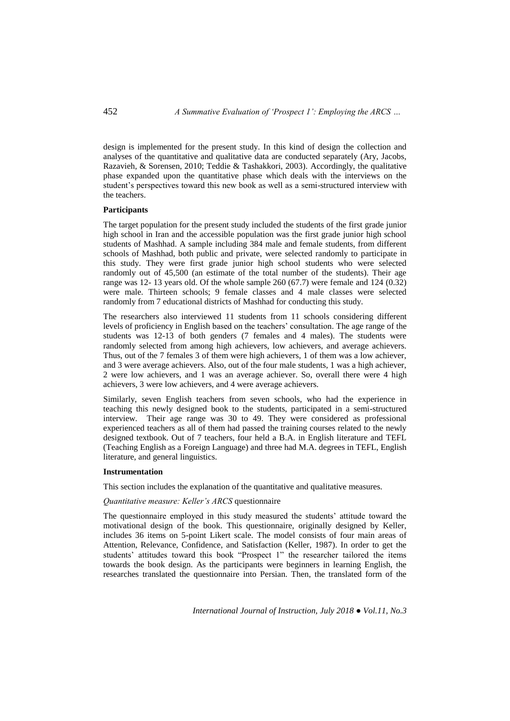design is implemented for the present study. In this kind of design the collection and analyses of the quantitative and qualitative data are conducted separately (Ary, Jacobs, Razavieh, & Sorensen, 2010; Teddie & Tashakkori, 2003). Accordingly, the qualitative phase expanded upon the quantitative phase which deals with the interviews on the student's perspectives toward this new book as well as a semi-structured interview with the teachers.

# **Participants**

The target population for the present study included the students of the first grade junior high school in Iran and the accessible population was the first grade junior high school students of Mashhad. A sample including 384 male and female students, from different schools of Mashhad, both public and private, were selected randomly to participate in this study. They were first grade junior high school students who were selected randomly out of 45,500 (an estimate of the total number of the students). Their age range was 12- 13 years old. Of the whole sample 260 (67.7) were female and 124 (0.32) were male. Thirteen schools; 9 female classes and 4 male classes were selected randomly from 7 educational districts of Mashhad for conducting this study.

The researchers also interviewed 11 students from 11 schools considering different levels of proficiency in English based on the teachers' consultation. The age range of the students was 12-13 of both genders (7 females and 4 males). The students were randomly selected from among high achievers, low achievers, and average achievers. Thus, out of the 7 females 3 of them were high achievers, 1 of them was a low achiever, and 3 were average achievers. Also, out of the four male students, 1 was a high achiever, 2 were low achievers, and 1 was an average achiever. So, overall there were 4 high achievers, 3 were low achievers, and 4 were average achievers.

Similarly, seven English teachers from seven schools, who had the experience in teaching this newly designed book to the students, participated in a semi-structured interview. Their age range was 30 to 49. They were considered as professional experienced teachers as all of them had passed the training courses related to the newly designed textbook. Out of 7 teachers, four held a B.A. in English literature and TEFL (Teaching English as a Foreign Language) and three had M.A. degrees in TEFL, English literature, and general linguistics.

#### **Instrumentation**

This section includes the explanation of the quantitative and qualitative measures.

## *Quantitative measure: Keller's ARCS* questionnaire

The questionnaire employed in this study measured the students' attitude toward the motivational design of the book. This questionnaire, originally designed by Keller, includes 36 items on 5-point Likert scale. The model consists of four main areas of Attention, Relevance, Confidence, and Satisfaction (Keller, 1987). In order to get the students' attitudes toward this book "Prospect 1" the researcher tailored the items towards the book design. As the participants were beginners in learning English, the researches translated the questionnaire into Persian. Then, the translated form of the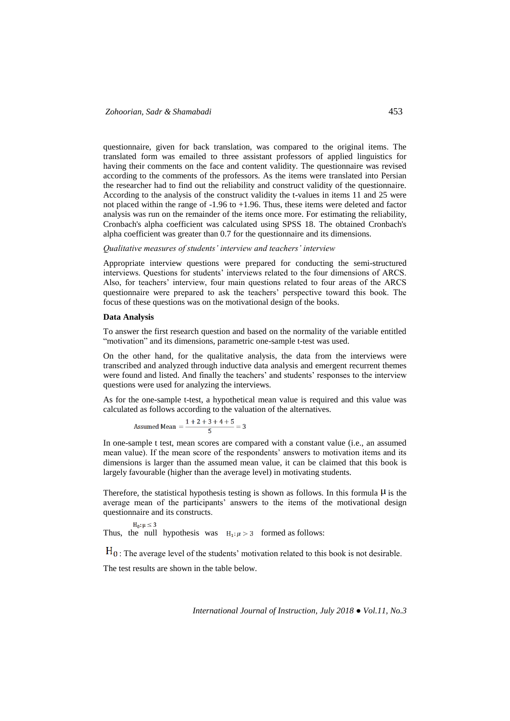questionnaire, given for back translation, was compared to the original items. The translated form was emailed to three assistant professors of applied linguistics for having their comments on the face and content validity. The questionnaire was revised according to the comments of the professors. As the items were translated into Persian the researcher had to find out the reliability and construct validity of the questionnaire. According to the analysis of the construct validity the t-values in items 11 and 25 were not placed within the range of -1.96 to +1.96. Thus, these items were deleted and factor analysis was run on the remainder of the items once more. For estimating the reliability, Cronbach's alpha coefficient was calculated using SPSS 18. The obtained Cronbach's alpha coefficient was greater than 0.7 for the questionnaire and its dimensions.

#### *Qualitative measures of students' interview and teachers' interview*

Appropriate interview questions were prepared for conducting the semi-structured interviews. Questions for students' interviews related to the four dimensions of ARCS. Also, for teachers' interview, four main questions related to four areas of the ARCS questionnaire were prepared to ask the teachers' perspective toward this book. The focus of these questions was on the motivational design of the books.

#### **Data Analysis**

To answer the first research question and based on the normality of the variable entitled "motivation" and its dimensions, parametric one-sample t-test was used.

On the other hand, for the qualitative analysis, the data from the interviews were transcribed and analyzed through inductive data analysis and emergent recurrent themes were found and listed. And finally the teachers' and students' responses to the interview questions were used for analyzing the interviews.

As for the one-sample t-test, a hypothetical mean value is required and this value was calculated as follows according to the valuation of the alternatives.

Assumed Mean 
$$
=
$$
 
$$
\frac{1+2+3+4+5}{5} = 3
$$

In one-sample t test, mean scores are compared with a constant value (i.e., an assumed mean value). If the mean score of the respondents' answers to motivation items and its dimensions is larger than the assumed mean value, it can be claimed that this book is largely favourable (higher than the average level) in motivating students.

Therefore, the statistical hypothesis testing is shown as follows. In this formula  $\mu$  is the average mean of the participants' answers to the items of the motivational design questionnaire and its constructs.

 $H_0: u \leq 3$ Thus, the null hypothesis was  $H_1: \mu > 3$  formed as follows:

H<sub>0</sub> : The average level of the students' motivation related to this book is not desirable.

The test results are shown in the table below.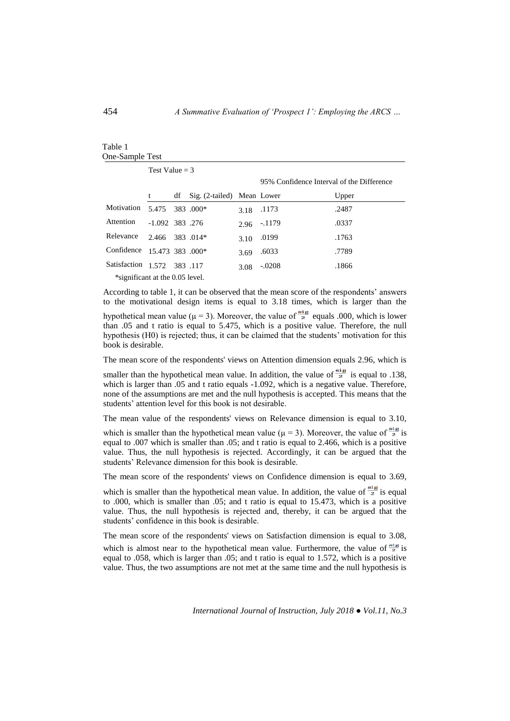# Table 1 One-Sample Test

Test Value  $= 3$ 

|                                 |                  |    |                            |      | 95% Confidence Interval of the Difference |       |
|---------------------------------|------------------|----|----------------------------|------|-------------------------------------------|-------|
|                                 | t                | df | Sig. (2-tailed) Mean Lower |      |                                           | Upper |
| Motivation                      | 5.475            |    | 383.000*                   | 3.18 | .1173                                     | .2487 |
| Attention                       | $-1.092$ 383.276 |    |                            | 2.96 | $-.1179$                                  | .0337 |
| Relevance                       | 2.466            |    | 383.014*                   | 3.10 | .0199                                     | .1763 |
| Confidence 15.473 383 .000*     |                  |    |                            | 3.69 | .6033                                     | .7789 |
| Satisfaction 1.572 383 .117     |                  |    |                            | 3.08 | $-.0208$                                  | .1866 |
| *significant at the 0.05 level. |                  |    |                            |      |                                           |       |

According to table 1, it can be observed that the mean score of the respondents' answers to the motivational design items is equal to 3.18 times, which is larger than the

hypothetical mean value ( $\mu = 3$ ). Moreover, the value of  $\frac{\text{sig}}{2}$  equals .000, which is lower than .05 and t ratio is equal to 5.475, which is a positive value. Therefore, the null hypothesis (H0) is rejected; thus, it can be claimed that the students' motivation for this book is desirable.

The mean score of the respondents' views on Attention dimension equals 2.96, which is

smaller than the hypothetical mean value. In addition, the value of  $\frac{\text{sig}}{2}$  is equal to .138, which is larger than .05 and t ratio equals -1.092, which is a negative value. Therefore, none of the assumptions are met and the null hypothesis is accepted. This means that the students' attention level for this book is not desirable.

The mean value of the respondents' views on Relevance dimension is equal to 3.10,

which is smaller than the hypothetical mean value ( $\mu = 3$ ). Moreover, the value of  $\frac{sig}{2}$  is equal to .007 which is smaller than .05; and t ratio is equal to 2.466, which is a positive value. Thus, the null hypothesis is rejected. Accordingly, it can be argued that the students' Relevance dimension for this book is desirable.

The mean score of the respondents' views on Confidence dimension is equal to 3.69,

which is smaller than the hypothetical mean value. In addition, the value of  $\frac{\text{sig}}{2}$  is equal to .000, which is smaller than .05; and t ratio is equal to 15.473, which is a positive value. Thus, the null hypothesis is rejected and, thereby, it can be argued that the students' confidence in this book is desirable.

The mean score of the respondents' views on Satisfaction dimension is equal to 3.08, which is almost near to the hypothetical mean value. Furthermore, the value of  $\frac{sig}{s}$  is equal to .058, which is larger than .05; and t ratio is equal to 1.572, which is a positive value. Thus, the two assumptions are not met at the same time and the null hypothesis is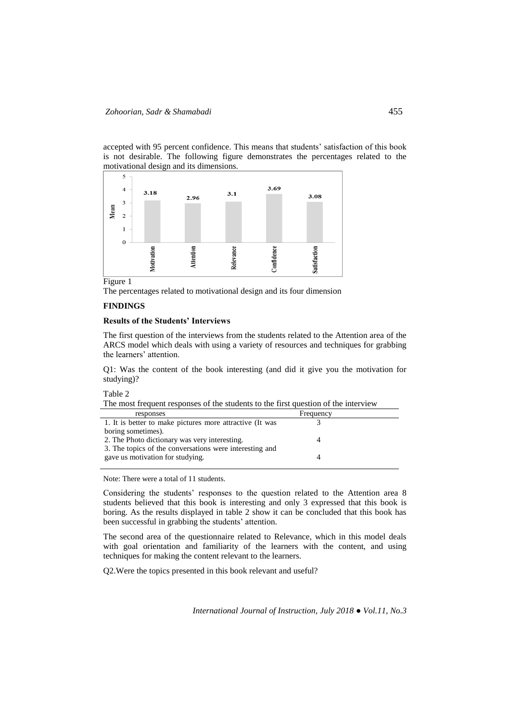accepted with 95 percent confidence. This means that students' satisfaction of this book is not desirable. The following figure demonstrates the percentages related to the motivational design and its dimensions.



Figure 1

The percentages related to motivational design and its four dimension

# **FINDINGS**

#### **Results of the Students' Interviews**

The first question of the interviews from the students related to the Attention area of the ARCS model which deals with using a variety of resources and techniques for grabbing the learners' attention.

Q1: Was the content of the book interesting (and did it give you the motivation for studying)?

Table 2

The most frequent responses of the students to the first question of the interview

| responses                                                | Frequency |  |
|----------------------------------------------------------|-----------|--|
| 1. It is better to make pictures more attractive (It was |           |  |
| boring sometimes).                                       |           |  |
| 2. The Photo dictionary was very interesting.            |           |  |
| 3. The topics of the conversations were interesting and  |           |  |
| gave us motivation for studying.                         |           |  |
|                                                          |           |  |

Note: There were a total of 11 students.

Considering the students' responses to the question related to the Attention area 8 students believed that this book is interesting and only 3 expressed that this book is boring. As the results displayed in table 2 show it can be concluded that this book has been successful in grabbing the students' attention.

The second area of the questionnaire related to Relevance, which in this model deals with goal orientation and familiarity of the learners with the content, and using techniques for making the content relevant to the learners.

Q2.Were the topics presented in this book relevant and useful?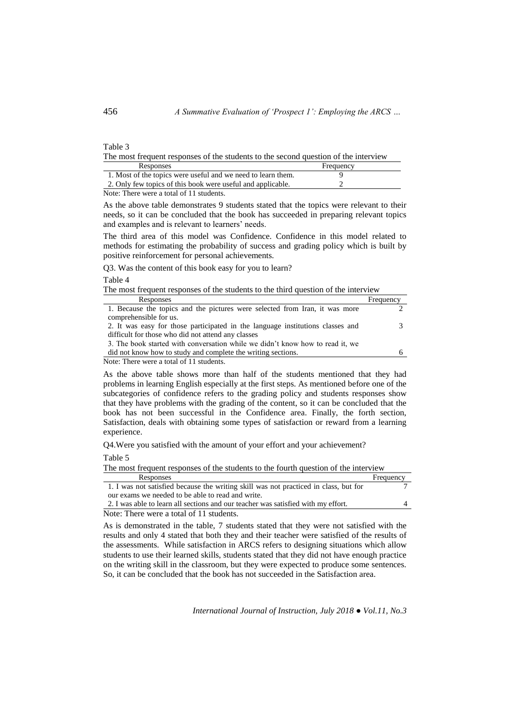Table 3

The most frequent responses of the students to the second question of the interview

| Responses                                                    | Frequency |
|--------------------------------------------------------------|-----------|
| 1. Most of the topics were useful and we need to learn them. |           |
| 2. Only few topics of this book were useful and applicable.  |           |
| Note: There were a total of 11 students                      |           |

Note: There were a total of 11 students.

As the above table demonstrates 9 students stated that the topics were relevant to their needs, so it can be concluded that the book has succeeded in preparing relevant topics and examples and is relevant to learners' needs.

The third area of this model was Confidence. Confidence in this model related to methods for estimating the probability of success and grading policy which is built by positive reinforcement for personal achievements.

Q3. Was the content of this book easy for you to learn?

Table 4

|--|

| Responses                                                                      | Frequency |
|--------------------------------------------------------------------------------|-----------|
| 1. Because the topics and the pictures were selected from Iran, it was more    |           |
| comprehensible for us.                                                         |           |
| 2. It was easy for those participated in the language institutions classes and |           |
| difficult for those who did not attend any classes                             |           |
| 3. The book started with conversation while we didn't know how to read it, we  |           |
| did not know how to study and complete the writing sections.                   |           |
| Note: There were a total of 11 students.                                       |           |

As the above table shows more than half of the students mentioned that they had problems in learning English especially at the first steps. As mentioned before one of the subcategories of confidence refers to the grading policy and students responses show that they have problems with the grading of the content, so it can be concluded that the book has not been successful in the Confidence area. Finally, the forth section, Satisfaction, deals with obtaining some types of satisfaction or reward from a learning experience.

Q4.Were you satisfied with the amount of your effort and your achievement?

Table 5

The most frequent responses of the students to the fourth question of the interview

| Responses                                                                                                                                                                                                                                | Frequency |
|------------------------------------------------------------------------------------------------------------------------------------------------------------------------------------------------------------------------------------------|-----------|
| 1. I was not satisfied because the writing skill was not practiced in class, but for                                                                                                                                                     |           |
| our exams we needed to be able to read and write.                                                                                                                                                                                        |           |
| 2. I was able to learn all sections and our teacher was satisfied with my effort.                                                                                                                                                        |           |
| <b>NET</b> and <b>THE set of the set of the set of the set of the set of the set of the set of the set of the set of the set of the set of the set of the set of the set of the set of the set of the set of the set of the set of t</b> |           |

Note: There were a total of 11 students.

As is demonstrated in the table, 7 students stated that they were not satisfied with the results and only 4 stated that both they and their teacher were satisfied of the results of the assessments. While satisfaction in ARCS refers to designing situations which allow students to use their learned skills, students stated that they did not have enough practice on the writing skill in the classroom, but they were expected to produce some sentences. So, it can be concluded that the book has not succeeded in the Satisfaction area.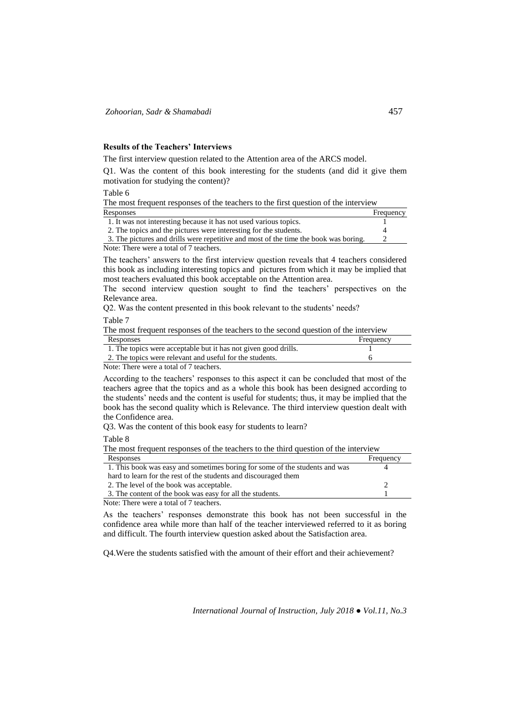## **Results of the Teachers' Interviews**

The first interview question related to the Attention area of the ARCS model.

Q1. Was the content of this book interesting for the students (and did it give them motivation for studying the content)?

Table 6

| The most frequent responses of the teachers to the first question of the interview |           |
|------------------------------------------------------------------------------------|-----------|
| Responses                                                                          | Frequency |
| 1. It was not interesting because it has not used various topics.                  |           |

| 2. The topics and the pictures were interesting for the students.                                                                                                                                                                                                                                |  |
|--------------------------------------------------------------------------------------------------------------------------------------------------------------------------------------------------------------------------------------------------------------------------------------------------|--|
| 3. The pictures and drills were repetitive and most of the time the book was boring.                                                                                                                                                                                                             |  |
| $\mathbf{M}$ and $\mathbf{M}$ and $\mathbf{M}$ and $\mathbf{M}$ and $\mathbf{M}$ and $\mathbf{M}$ and $\mathbf{M}$ and $\mathbf{M}$ and $\mathbf{M}$ and $\mathbf{M}$ and $\mathbf{M}$ and $\mathbf{M}$ and $\mathbf{M}$ and $\mathbf{M}$ and $\mathbf{M}$ and $\mathbf{M}$ and $\mathbf{M}$ and |  |

Note: There were a total of 7 teachers.

The teachers' answers to the first interview question reveals that 4 teachers considered this book as including interesting topics and pictures from which it may be implied that most teachers evaluated this book acceptable on the Attention area.

The second interview question sought to find the teachers' perspectives on the Relevance area.

Q2. Was the content presented in this book relevant to the students' needs?

Table 7

|           | The most frequent responses of the teachers to the second question of the interview |  |
|-----------|-------------------------------------------------------------------------------------|--|
| Responses | Frequency                                                                           |  |

| -------------                                                   | - - - - - - - - - - - |
|-----------------------------------------------------------------|-----------------------|
| 1. The topics were acceptable but it has not given good drills. |                       |
| 2. The topics were relevant and useful for the students.        |                       |
|                                                                 |                       |

Note: There were a total of 7 teachers.

According to the teachers' responses to this aspect it can be concluded that most of the teachers agree that the topics and as a whole this book has been designed according to the students' needs and the content is useful for students; thus, it may be implied that the book has the second quality which is Relevance. The third interview question dealt with the Confidence area.

Q3. Was the content of this book easy for students to learn?

Table 8

The most frequent responses of the teachers to the third question of the interview

| Responses                                                                   | Frequency |
|-----------------------------------------------------------------------------|-----------|
| 1. This book was easy and sometimes boring for some of the students and was |           |
| hard to learn for the rest of the students and discouraged them             |           |
| 2. The level of the book was acceptable.                                    |           |
| 3. The content of the book was easy for all the students.                   |           |
| Note: There were a total of 7 teachers.                                     |           |

As the teachers' responses demonstrate this book has not been successful in the confidence area while more than half of the teacher interviewed referred to it as boring and difficult. The fourth interview question asked about the Satisfaction area.

Q4.Were the students satisfied with the amount of their effort and their achievement?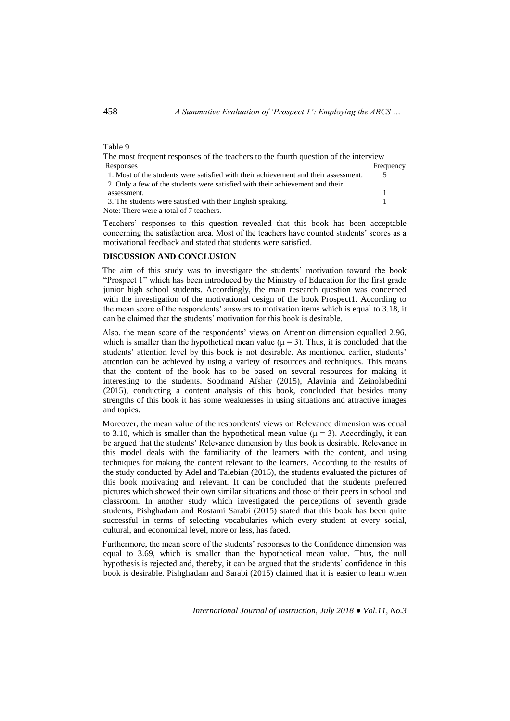| The most frequent responses of the teachers to the fourth question of the interview |           |
|-------------------------------------------------------------------------------------|-----------|
| Responses                                                                           | Frequency |
| 1. Most of the students were satisfied with their achievement and their assessment. |           |
| 2. Only a few of the students were satisfied with their achievement and their       |           |

| assessment.                                                 |  |
|-------------------------------------------------------------|--|
| 3. The students were satisfied with their English speaking. |  |
| Note: There were a total of 7 teachers.                     |  |

Teachers' responses to this question revealed that this book has been acceptable concerning the satisfaction area. Most of the teachers have counted students' scores as a motivational feedback and stated that students were satisfied.

## **DISCUSSION AND CONCLUSION**

The aim of this study was to investigate the students' motivation toward the book "Prospect 1" which has been introduced by the Ministry of Education for the first grade junior high school students. Accordingly, the main research question was concerned with the investigation of the motivational design of the book Prospect1. According to the mean score of the respondents' answers to motivation items which is equal to 3.18, it can be claimed that the students' motivation for this book is desirable.

Also, the mean score of the respondents' views on Attention dimension equalled 2.96, which is smaller than the hypothetical mean value ( $\mu = 3$ ). Thus, it is concluded that the students' attention level by this book is not desirable. As mentioned earlier, students' attention can be achieved by using a variety of resources and techniques. This means that the content of the book has to be based on several resources for making it interesting to the students. Soodmand Afshar (2015), Alavinia and Zeinolabedini (2015), conducting a content analysis of this book, concluded that besides many strengths of this book it has some weaknesses in using situations and attractive images and topics.

Moreover, the mean value of the respondents' views on Relevance dimension was equal to 3.10, which is smaller than the hypothetical mean value ( $\mu = 3$ ). Accordingly, it can be argued that the students' Relevance dimension by this book is desirable. Relevance in this model deals with the familiarity of the learners with the content, and using techniques for making the content relevant to the learners. According to the results of the study conducted by Adel and Talebian (2015), the students evaluated the pictures of this book motivating and relevant. It can be concluded that the students preferred pictures which showed their own similar situations and those of their peers in school and classroom. In another study which investigated the perceptions of seventh grade students, Pishghadam and Rostami Sarabi (2015) stated that this book has been quite successful in terms of selecting vocabularies which every student at every social, cultural, and economical level, more or less, has faced.

Furthermore, the mean score of the students' responses to the Confidence dimension was equal to 3.69, which is smaller than the hypothetical mean value. Thus, the null hypothesis is rejected and, thereby, it can be argued that the students' confidence in this book is desirable. Pishghadam and Sarabi (2015) claimed that it is easier to learn when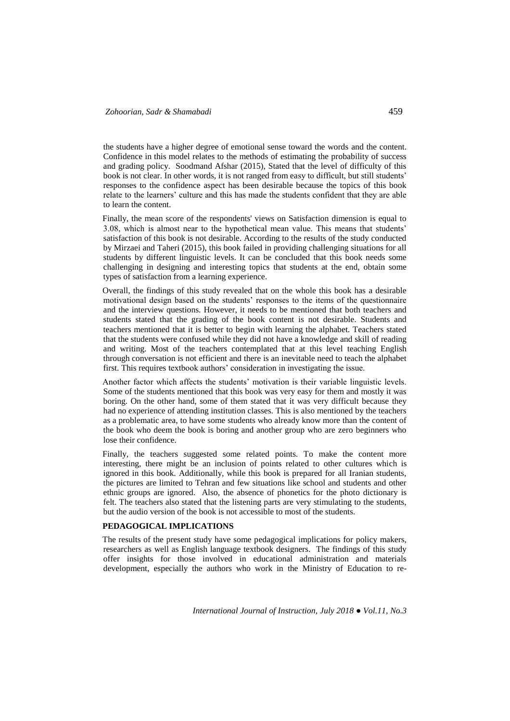the students have a higher degree of emotional sense toward the words and the content. Confidence in this model relates to the methods of estimating the probability of success and grading policy. Soodmand Afshar (2015), Stated that the level of difficulty of this book is not clear. In other words, it is not ranged from easy to difficult, but still students' responses to the confidence aspect has been desirable because the topics of this book relate to the learners' culture and this has made the students confident that they are able to learn the content.

Finally, the mean score of the respondents' views on Satisfaction dimension is equal to 3.08, which is almost near to the hypothetical mean value. This means that students' satisfaction of this book is not desirable. According to the results of the study conducted by Mirzaei and Taheri (2015), this book failed in providing challenging situations for all students by different linguistic levels. It can be concluded that this book needs some challenging in designing and interesting topics that students at the end, obtain some types of satisfaction from a learning experience.

Overall, the findings of this study revealed that on the whole this book has a desirable motivational design based on the students' responses to the items of the questionnaire and the interview questions. However, it needs to be mentioned that both teachers and students stated that the grading of the book content is not desirable. Students and teachers mentioned that it is better to begin with learning the alphabet. Teachers stated that the students were confused while they did not have a knowledge and skill of reading and writing. Most of the teachers contemplated that at this level teaching English through conversation is not efficient and there is an inevitable need to teach the alphabet first. This requires textbook authors' consideration in investigating the issue.

Another factor which affects the students' motivation is their variable linguistic levels. Some of the students mentioned that this book was very easy for them and mostly it was boring. On the other hand, some of them stated that it was very difficult because they had no experience of attending institution classes. This is also mentioned by the teachers as a problematic area, to have some students who already know more than the content of the book who deem the book is boring and another group who are zero beginners who lose their confidence.

Finally, the teachers suggested some related points. To make the content more interesting, there might be an inclusion of points related to other cultures which is ignored in this book. Additionally, while this book is prepared for all Iranian students, the pictures are limited to Tehran and few situations like school and students and other ethnic groups are ignored. Also, the absence of phonetics for the photo dictionary is felt. The teachers also stated that the listening parts are very stimulating to the students, but the audio version of the book is not accessible to most of the students.

## **PEDAGOGICAL IMPLICATIONS**

The results of the present study have some pedagogical implications for policy makers, researchers as well as English language textbook designers. The findings of this study offer insights for those involved in educational administration and materials development, especially the authors who work in the Ministry of Education to re-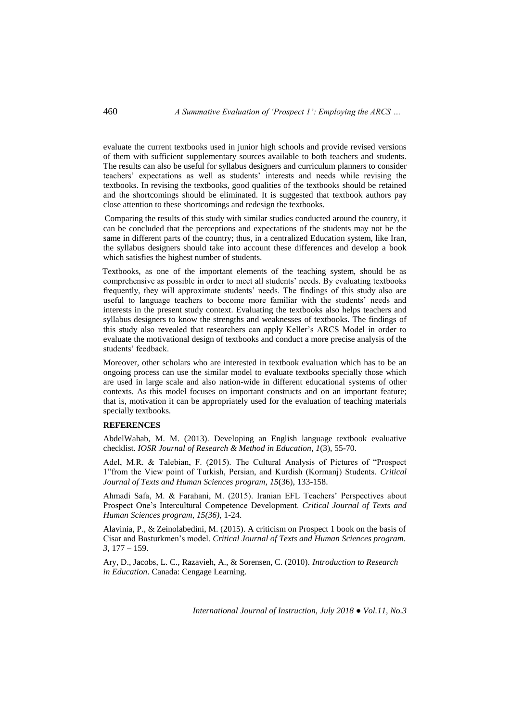evaluate the current textbooks used in junior high schools and provide revised versions of them with sufficient supplementary sources available to both teachers and students. The results can also be useful for syllabus designers and curriculum planners to consider teachers' expectations as well as students' interests and needs while revising the textbooks. In revising the textbooks, good qualities of the textbooks should be retained and the shortcomings should be eliminated. It is suggested that textbook authors pay close attention to these shortcomings and redesign the textbooks.

Comparing the results of this study with similar studies conducted around the country, it can be concluded that the perceptions and expectations of the students may not be the same in different parts of the country; thus, in a centralized Education system, like Iran, the syllabus designers should take into account these differences and develop a book which satisfies the highest number of students.

Textbooks, as one of the important elements of the teaching system, should be as comprehensive as possible in order to meet all students' needs. By evaluating textbooks frequently, they will approximate students' needs. The findings of this study also are useful to language teachers to become more familiar with the students' needs and interests in the present study context. Evaluating the textbooks also helps teachers and syllabus designers to know the strengths and weaknesses of textbooks. The findings of this study also revealed that researchers can apply Keller's ARCS Model in order to evaluate the motivational design of textbooks and conduct a more precise analysis of the students' feedback.

Moreover, other scholars who are interested in textbook evaluation which has to be an ongoing process can use the similar model to evaluate textbooks specially those which are used in large scale and also nation-wide in different educational systems of other contexts. As this model focuses on important constructs and on an important feature; that is, motivation it can be appropriately used for the evaluation of teaching materials specially textbooks.

#### **REFERENCES**

AbdelWahab, M. M. (2013). Developing an English language textbook evaluative checklist. *IOSR Journal of Research & Method in Education*, *1*(3), 55-70.

Adel, M.R. & Talebian, F. (2015). The Cultural Analysis of Pictures of "Prospect 1"from the View point of Turkish, Persian, and Kurdish (Kormanj) Students. *Critical Journal of Texts and Human Sciences program*, *15*(36), 133-158.

Ahmadi Safa, M. & Farahani, M. (2015). Iranian EFL Teachers' Perspectives about Prospect One's Intercultural Competence Development. *Critical Journal of Texts and Human Sciences program, 15(36),* 1-24.

Alavinia, P., & Zeinolabedini, M. (2015). A criticism on Prospect 1 book on the basis of Cisar and Basturkmen's model. *Critical Journal of Texts and Human Sciences program. 3*, 177 – 159.

Ary, D., Jacobs, L. C., Razavieh, A., & Sorensen, C. (2010). *Introduction to Research in Education*. Canada: Cengage Learning.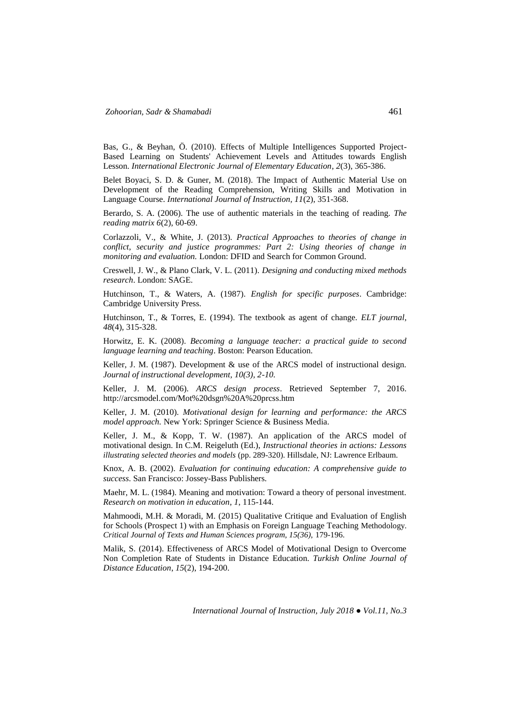Bas, G., & Beyhan, Ö. (2010). Effects of Multiple Intelligences Supported Project-Based Learning on Students' Achievement Levels and Attitudes towards English Lesson. *International Electronic Journal of Elementary Education*, *2*(3), 365-386.

Belet Boyaci, S. D. & Guner, M. (2018). The Impact of Authentic Material Use on Development of the Reading Comprehension, Writing Skills and Motivation in Language Course. *International Journal of Instruction, 11*(2), 351-368.

Berardo, S. A. (2006). The use of authentic materials in the teaching of reading. *The reading matrix 6*(2), 60-69.

Corlazzoli, V., & White, J. (2013). *Practical Approaches to theories of change in conflict, security and justice programmes: Part 2: Using theories of change in monitoring and evaluation.* London: DFID and Search for Common Ground.

Creswell, J. W., & Plano Clark, V. L. (2011). *Designing and conducting mixed methods research*. London: SAGE.

Hutchinson, T., & Waters, A. (1987). *English for specific purposes*. Cambridge: Cambridge University Press.

Hutchinson, T., & Torres, E. (1994). The textbook as agent of change. *ELT journal*, *48*(4), 315-328.

Horwitz, E. K. (2008). *Becoming a language teacher: a practical guide to second language learning and teaching*. Boston: Pearson Education.

Keller, J. M. (1987). Development & use of the ARCS model of instructional design. *Journal of instructional development, 10(3), 2-10.* 

Keller, J. M. (2006). *ARCS design process*. Retrieved September 7, 2016. http://arcsmodel.com/Mot%20dsgn%20A%20prcss.htm

Keller, J. M. (2010). *Motivational design for learning and performance: the ARCS model approach.* New York: Springer Science & Business Media.

Keller, J. M., & Kopp, T. W. (1987). An application of the ARCS model of motivational design. In C.M. Reigeluth (Ed.), *Instructional theories in actions: Lessons illustrating selected theories and models* (pp. 289-320). Hillsdale, NJ: Lawrence Erlbaum.

Knox, A. B. (2002). *Evaluation for continuing education: A comprehensive guide to success*. San Francisco: Jossey-Bass Publishers.

Maehr, M. L. (1984). Meaning and motivation: Toward a theory of personal investment. *Research on motivation in education*, *1*, 115-144.

Mahmoodi, M.H. & Moradi, M. (2015) Qualitative Critique and Evaluation of English for Schools (Prospect 1) with an Emphasis on Foreign Language Teaching Methodology. *Critical Journal of Texts and Human Sciences program, 15(36),* 179-196.

Malik, S. (2014). Effectiveness of ARCS Model of Motivational Design to Overcome Non Completion Rate of Students in Distance Education. *Turkish Online Journal of Distance Education*, *15*(2), 194-200.